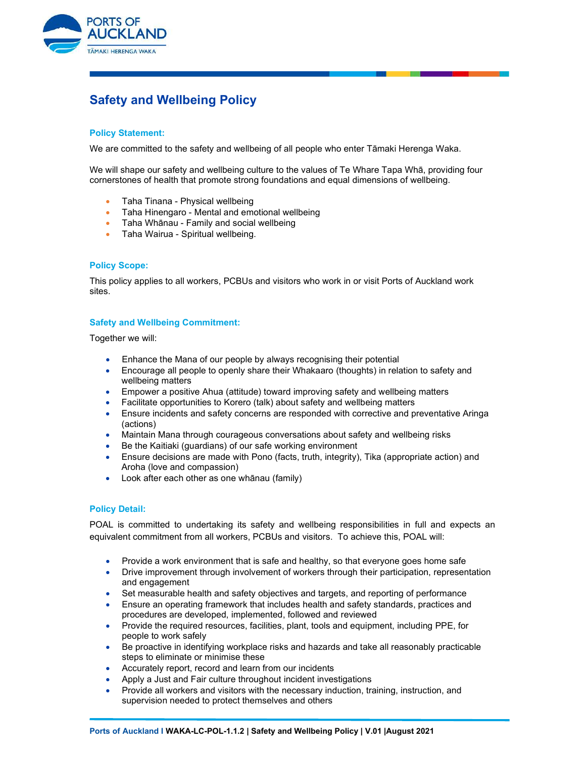

# Safety and Wellbeing Policy

## Policy Statement:

We are committed to the safety and wellbeing of all people who enter Tāmaki Herenga Waka.

We will shape our safety and wellbeing culture to the values of Te Whare Tapa Whā, providing four cornerstones of health that promote strong foundations and equal dimensions of wellbeing.

- Taha Tinana Physical wellbeing
- Taha Hinengaro Mental and emotional wellbeing
- **•** Taha Whānau Family and social wellbeing
- **•** Taha Wairua Spiritual wellbeing.

### Policy Scope:

This policy applies to all workers, PCBUs and visitors who work in or visit Ports of Auckland work sites.

## Safety and Wellbeing Commitment:

Together we will:

- Enhance the Mana of our people by always recognising their potential
- Encourage all people to openly share their Whakaaro (thoughts) in relation to safety and wellbeing matters
- Empower a positive Ahua (attitude) toward improving safety and wellbeing matters
- Facilitate opportunities to Korero (talk) about safety and wellbeing matters
- Ensure incidents and safety concerns are responded with corrective and preventative Aringa (actions)
- Maintain Mana through courageous conversations about safety and wellbeing risks
- Be the Kaitiaki (guardians) of our safe working environment
- Ensure decisions are made with Pono (facts, truth, integrity), Tika (appropriate action) and Aroha (love and compassion)
- Look after each other as one whānau (family)

### Policy Detail:

POAL is committed to undertaking its safety and wellbeing responsibilities in full and expects an equivalent commitment from all workers, PCBUs and visitors. To achieve this, POAL will:

- Provide a work environment that is safe and healthy, so that everyone goes home safe
- Drive improvement through involvement of workers through their participation, representation and engagement
- Set measurable health and safety objectives and targets, and reporting of performance
- Ensure an operating framework that includes health and safety standards, practices and procedures are developed, implemented, followed and reviewed
- Provide the required resources, facilities, plant, tools and equipment, including PPE, for people to work safely
- Be proactive in identifying workplace risks and hazards and take all reasonably practicable steps to eliminate or minimise these
- Accurately report, record and learn from our incidents
- Apply a Just and Fair culture throughout incident investigations
- Provide all workers and visitors with the necessary induction, training, instruction, and supervision needed to protect themselves and others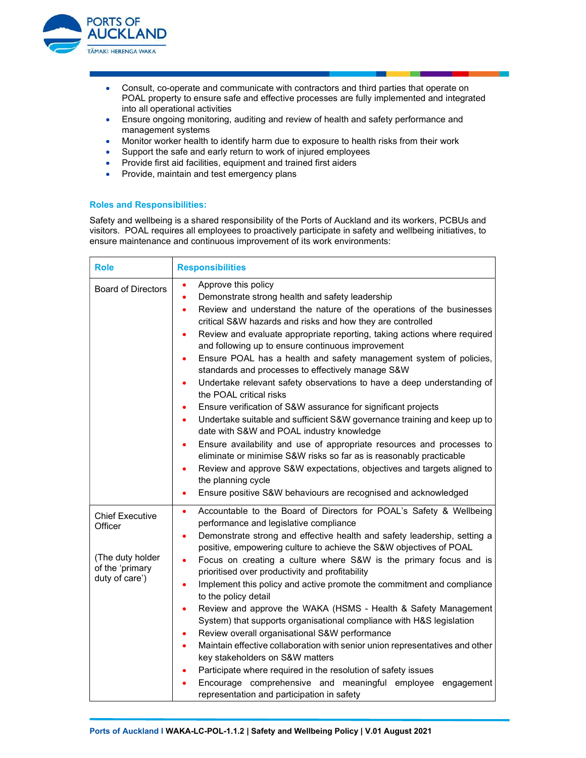

- Consult, co-operate and communicate with contractors and third parties that operate on POAL property to ensure safe and effective processes are fully implemented and integrated into all operational activities
- Ensure ongoing monitoring, auditing and review of health and safety performance and management systems
- Monitor worker health to identify harm due to exposure to health risks from their work
- Support the safe and early return to work of injured employees
- Provide first aid facilities, equipment and trained first aiders
- Provide, maintain and test emergency plans

#### Roles and Responsibilities:

Safety and wellbeing is a shared responsibility of the Ports of Auckland and its workers, PCBUs and visitors. POAL requires all employees to proactively participate in safety and wellbeing initiatives, to ensure maintenance and continuous improvement of its work environments:

| <b>Role</b>                                                                                | <b>Responsibilities</b>                                                                                                                                                                                                                                                                                                                                                                                                                                                                                                                                                                                                                                                                                                                                                                                                                                                                                                                                                                                                                                                                                                                                                                                  |
|--------------------------------------------------------------------------------------------|----------------------------------------------------------------------------------------------------------------------------------------------------------------------------------------------------------------------------------------------------------------------------------------------------------------------------------------------------------------------------------------------------------------------------------------------------------------------------------------------------------------------------------------------------------------------------------------------------------------------------------------------------------------------------------------------------------------------------------------------------------------------------------------------------------------------------------------------------------------------------------------------------------------------------------------------------------------------------------------------------------------------------------------------------------------------------------------------------------------------------------------------------------------------------------------------------------|
| <b>Board of Directors</b>                                                                  | Approve this policy<br>٠<br>Demonstrate strong health and safety leadership<br>$\bullet$<br>Review and understand the nature of the operations of the businesses<br>$\bullet$<br>critical S&W hazards and risks and how they are controlled<br>Review and evaluate appropriate reporting, taking actions where required<br>٠<br>and following up to ensure continuous improvement<br>Ensure POAL has a health and safety management system of policies,<br>٠<br>standards and processes to effectively manage S&W<br>Undertake relevant safety observations to have a deep understanding of<br>$\bullet$<br>the POAL critical risks<br>Ensure verification of S&W assurance for significant projects<br>$\bullet$<br>Undertake suitable and sufficient S&W governance training and keep up to<br>$\bullet$<br>date with S&W and POAL industry knowledge<br>Ensure availability and use of appropriate resources and processes to<br>$\bullet$<br>eliminate or minimise S&W risks so far as is reasonably practicable<br>Review and approve S&W expectations, objectives and targets aligned to<br>٠<br>the planning cycle<br>Ensure positive S&W behaviours are recognised and acknowledged<br>$\bullet$ |
| <b>Chief Executive</b><br>Officer<br>(The duty holder<br>of the 'primary<br>duty of care') | Accountable to the Board of Directors for POAL's Safety & Wellbeing<br>$\bullet$<br>performance and legislative compliance<br>Demonstrate strong and effective health and safety leadership, setting a<br>$\bullet$<br>positive, empowering culture to achieve the S&W objectives of POAL<br>Focus on creating a culture where S&W is the primary focus and is<br>$\bullet$<br>prioritised over productivity and profitability<br>Implement this policy and active promote the commitment and compliance<br>$\bullet$<br>to the policy detail<br>Review and approve the WAKA (HSMS - Health & Safety Management<br>٠<br>System) that supports organisational compliance with H&S legislation<br>Review overall organisational S&W performance<br>٠<br>Maintain effective collaboration with senior union representatives and other<br>$\bullet$<br>key stakeholders on S&W matters<br>Participate where required in the resolution of safety issues<br>Encourage comprehensive and meaningful employee engagement<br>representation and participation in safety                                                                                                                                          |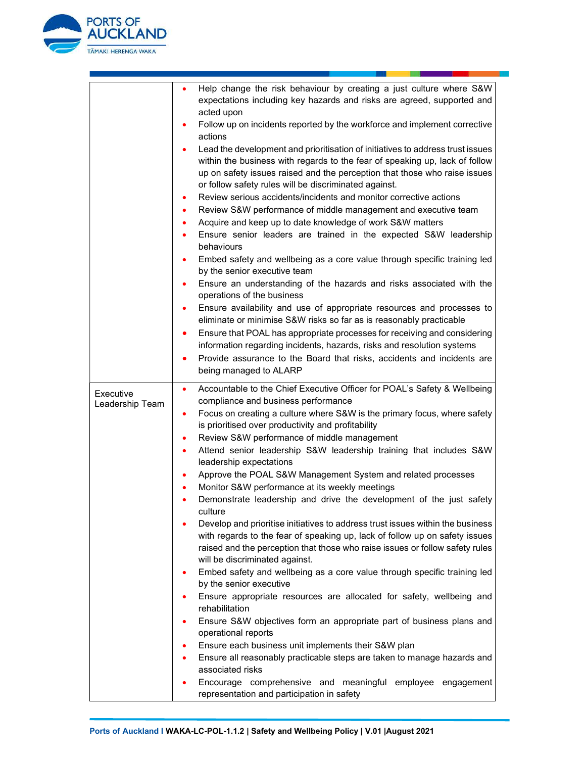

|                 | Help change the risk behaviour by creating a just culture where S&W<br>٠                                                     |
|-----------------|------------------------------------------------------------------------------------------------------------------------------|
|                 | expectations including key hazards and risks are agreed, supported and<br>acted upon                                         |
|                 | Follow up on incidents reported by the workforce and implement corrective                                                    |
|                 | actions                                                                                                                      |
|                 | Lead the development and prioritisation of initiatives to address trust issues<br>٠                                          |
|                 | within the business with regards to the fear of speaking up, lack of follow                                                  |
|                 | up on safety issues raised and the perception that those who raise issues                                                    |
|                 | or follow safety rules will be discriminated against.                                                                        |
|                 | Review serious accidents/incidents and monitor corrective actions<br>٠                                                       |
|                 | Review S&W performance of middle management and executive team<br>٠                                                          |
|                 | Acquire and keep up to date knowledge of work S&W matters<br>٠                                                               |
|                 | Ensure senior leaders are trained in the expected S&W leadership                                                             |
|                 | behaviours                                                                                                                   |
|                 | Embed safety and wellbeing as a core value through specific training led<br>٠                                                |
|                 | by the senior executive team                                                                                                 |
|                 | Ensure an understanding of the hazards and risks associated with the<br>٠<br>operations of the business                      |
|                 | Ensure availability and use of appropriate resources and processes to                                                        |
|                 | eliminate or minimise S&W risks so far as is reasonably practicable                                                          |
|                 | Ensure that POAL has appropriate processes for receiving and considering<br>٠                                                |
|                 | information regarding incidents, hazards, risks and resolution systems                                                       |
|                 | Provide assurance to the Board that risks, accidents and incidents are<br>$\bullet$                                          |
|                 | being managed to ALARP                                                                                                       |
|                 |                                                                                                                              |
| Executive       | Accountable to the Chief Executive Officer for POAL's Safety & Wellbeing<br>$\bullet$<br>compliance and business performance |
| Leadership Team | Focus on creating a culture where S&W is the primary focus, where safety<br>٠                                                |
|                 | is prioritised over productivity and profitability                                                                           |
|                 | Review S&W performance of middle management<br>٠                                                                             |
|                 | Attend senior leadership S&W leadership training that includes S&W<br>$\bullet$                                              |
|                 | leadership expectations                                                                                                      |
|                 | Approve the POAL S&W Management System and related processes                                                                 |
|                 | Monitor S&W performance at its weekly meetings                                                                               |
|                 | Demonstrate leadership and drive the development of the just safety                                                          |
|                 | culture                                                                                                                      |
|                 | Develop and prioritise initiatives to address trust issues within the business                                               |
|                 | with regards to the fear of speaking up, lack of follow up on safety issues                                                  |
|                 | raised and the perception that those who raise issues or follow safety rules<br>will be discriminated against.               |
|                 | Embed safety and wellbeing as a core value through specific training led                                                     |
|                 | by the senior executive                                                                                                      |
|                 | Ensure appropriate resources are allocated for safety, wellbeing and                                                         |
|                 | rehabilitation                                                                                                               |
|                 | Ensure S&W objectives form an appropriate part of business plans and                                                         |
|                 | operational reports                                                                                                          |
|                 | Ensure each business unit implements their S&W plan<br>٠                                                                     |
|                 | Ensure all reasonably practicable steps are taken to manage hazards and                                                      |
|                 | associated risks                                                                                                             |
|                 | Encourage comprehensive and meaningful employee<br>engagement                                                                |
|                 | representation and participation in safety                                                                                   |

u a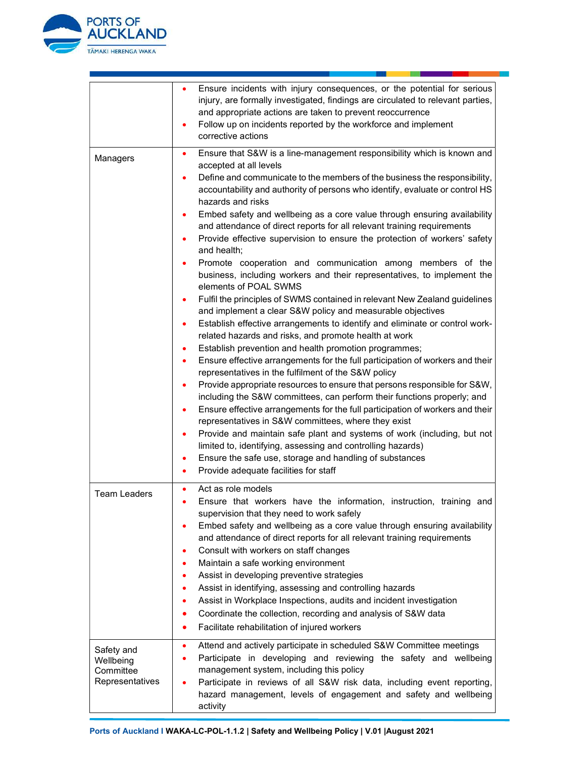

|                                                         | Ensure incidents with injury consequences, or the potential for serious<br>٠<br>injury, are formally investigated, findings are circulated to relevant parties,<br>and appropriate actions are taken to prevent reoccurrence<br>Follow up on incidents reported by the workforce and implement<br>corrective actions                                                                                                                                                                                                                                                                                                                                                                                                                                                                                                                                                                                                                                                                                                                                                             |
|---------------------------------------------------------|----------------------------------------------------------------------------------------------------------------------------------------------------------------------------------------------------------------------------------------------------------------------------------------------------------------------------------------------------------------------------------------------------------------------------------------------------------------------------------------------------------------------------------------------------------------------------------------------------------------------------------------------------------------------------------------------------------------------------------------------------------------------------------------------------------------------------------------------------------------------------------------------------------------------------------------------------------------------------------------------------------------------------------------------------------------------------------|
| Managers                                                | Ensure that S&W is a line-management responsibility which is known and<br>٠<br>accepted at all levels<br>Define and communicate to the members of the business the responsibility,<br>accountability and authority of persons who identify, evaluate or control HS<br>hazards and risks<br>Embed safety and wellbeing as a core value through ensuring availability<br>and attendance of direct reports for all relevant training requirements<br>Provide effective supervision to ensure the protection of workers' safety<br>$\bullet$<br>and health;<br>Promote cooperation and communication among members of the<br>business, including workers and their representatives, to implement the<br>elements of POAL SWMS<br>Fulfil the principles of SWMS contained in relevant New Zealand guidelines<br>and implement a clear S&W policy and measurable objectives<br>Establish effective arrangements to identify and eliminate or control work-<br>٠<br>related hazards and risks, and promote health at work<br>Establish prevention and health promotion programmes;<br>٠ |
|                                                         | Ensure effective arrangements for the full participation of workers and their<br>٠<br>representatives in the fulfilment of the S&W policy<br>Provide appropriate resources to ensure that persons responsible for S&W,<br>including the S&W committees, can perform their functions properly; and<br>Ensure effective arrangements for the full participation of workers and their<br>٠<br>representatives in S&W committees, where they exist<br>Provide and maintain safe plant and systems of work (including, but not<br>٠<br>limited to, identifying, assessing and controlling hazards)<br>Ensure the safe use, storage and handling of substances<br>٠<br>Provide adequate facilities for staff<br>٠                                                                                                                                                                                                                                                                                                                                                                      |
| <b>Team Leaders</b>                                     | Act as role models<br>٠<br>Ensure that workers have the information, instruction, training and<br>٠<br>supervision that they need to work safely<br>Embed safety and wellbeing as a core value through ensuring availability<br>and attendance of direct reports for all relevant training requirements<br>Consult with workers on staff changes<br>٠<br>Maintain a safe working environment<br>٠<br>Assist in developing preventive strategies<br>Assist in identifying, assessing and controlling hazards<br>Assist in Workplace Inspections, audits and incident investigation<br>٠<br>Coordinate the collection, recording and analysis of S&W data<br>٠<br>Facilitate rehabilitation of injured workers<br>$\bullet$                                                                                                                                                                                                                                                                                                                                                        |
| Safety and<br>Wellbeing<br>Committee<br>Representatives | Attend and actively participate in scheduled S&W Committee meetings<br>٠<br>Participate in developing and reviewing the safety and wellbeing<br>٠<br>management system, including this policy<br>Participate in reviews of all S&W risk data, including event reporting,<br>hazard management, levels of engagement and safety and wellbeing<br>activity                                                                                                                                                                                                                                                                                                                                                                                                                                                                                                                                                                                                                                                                                                                         |

a kacamatan ing Kabupatèn Kabupatèn Kabupatèn Kabupatèn Kabupatèn Kabupatèn Kabupatèn Kabupatèn Kabupatèn Kabu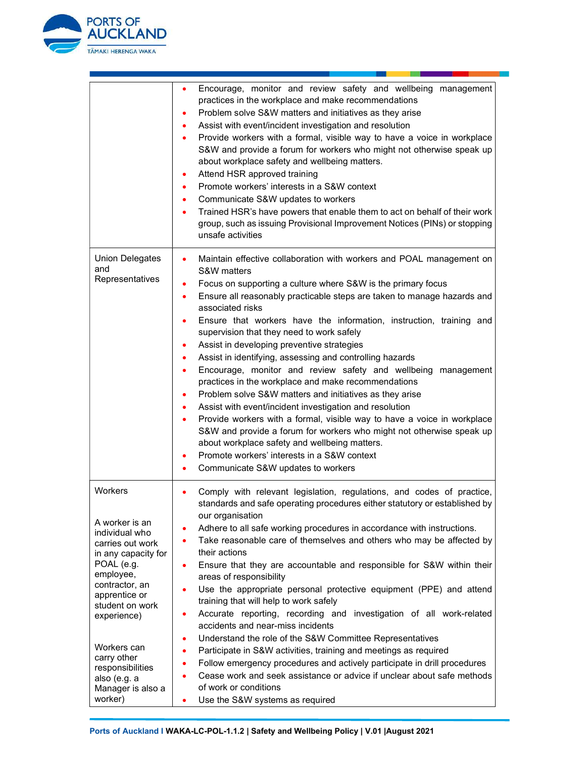

|                                                                                                                                                                                                                                                          | Encourage, monitor and review safety and wellbeing management<br>٠<br>practices in the workplace and make recommendations<br>Problem solve S&W matters and initiatives as they arise<br>٠<br>Assist with event/incident investigation and resolution<br>٠<br>Provide workers with a formal, visible way to have a voice in workplace<br>$\bullet$<br>S&W and provide a forum for workers who might not otherwise speak up<br>about workplace safety and wellbeing matters.<br>Attend HSR approved training<br>٠<br>Promote workers' interests in a S&W context<br>٠<br>Communicate S&W updates to workers<br>٠<br>Trained HSR's have powers that enable them to act on behalf of their work<br>٠<br>group, such as issuing Provisional Improvement Notices (PINs) or stopping<br>unsafe activities                                                                                                                                                                                                                                                                                                |
|----------------------------------------------------------------------------------------------------------------------------------------------------------------------------------------------------------------------------------------------------------|---------------------------------------------------------------------------------------------------------------------------------------------------------------------------------------------------------------------------------------------------------------------------------------------------------------------------------------------------------------------------------------------------------------------------------------------------------------------------------------------------------------------------------------------------------------------------------------------------------------------------------------------------------------------------------------------------------------------------------------------------------------------------------------------------------------------------------------------------------------------------------------------------------------------------------------------------------------------------------------------------------------------------------------------------------------------------------------------------|
| <b>Union Delegates</b><br>and<br>Representatives                                                                                                                                                                                                         | Maintain effective collaboration with workers and POAL management on<br>$\bullet$<br>S&W matters<br>Focus on supporting a culture where S&W is the primary focus<br>$\bullet$<br>Ensure all reasonably practicable steps are taken to manage hazards and<br>٠<br>associated risks<br>Ensure that workers have the information, instruction, training and<br>٠<br>supervision that they need to work safely<br>Assist in developing preventive strategies<br>٠<br>Assist in identifying, assessing and controlling hazards<br>٠<br>Encourage, monitor and review safety and wellbeing<br>management<br>٠<br>practices in the workplace and make recommendations<br>Problem solve S&W matters and initiatives as they arise<br>٠<br>Assist with event/incident investigation and resolution<br>٠<br>Provide workers with a formal, visible way to have a voice in workplace<br>S&W and provide a forum for workers who might not otherwise speak up<br>about workplace safety and wellbeing matters.<br>Promote workers' interests in a S&W context<br>٠<br>Communicate S&W updates to workers<br>٠ |
| Workers<br>A worker is an<br>individual who<br>carries out work<br>in any capacity for<br>POAL (e.g.<br>employee,<br>contractor, an<br>apprentice or<br>student on work<br>experience)<br>Workers can<br>carry other<br>responsibilities<br>also (e.g. a | Comply with relevant legislation, regulations, and codes of practice,<br>٠<br>standards and safe operating procedures either statutory or established by<br>our organisation<br>Adhere to all safe working procedures in accordance with instructions.<br>Take reasonable care of themselves and others who may be affected by<br>their actions<br>Ensure that they are accountable and responsible for S&W within their<br>$\bullet$<br>areas of responsibility<br>Use the appropriate personal protective equipment (PPE) and attend<br>$\bullet$<br>training that will help to work safely<br>Accurate reporting, recording and investigation of all work-related<br>٠<br>accidents and near-miss incidents<br>Understand the role of the S&W Committee Representatives<br>٠<br>Participate in S&W activities, training and meetings as required<br>٠<br>Follow emergency procedures and actively participate in drill procedures<br>٠<br>Cease work and seek assistance or advice if unclear about safe methods<br>$\bullet$<br>of work or conditions                                         |
| Manager is also a<br>worker)                                                                                                                                                                                                                             | Use the S&W systems as required<br>٠                                                                                                                                                                                                                                                                                                                                                                                                                                                                                                                                                                                                                                                                                                                                                                                                                                                                                                                                                                                                                                                              |

u a